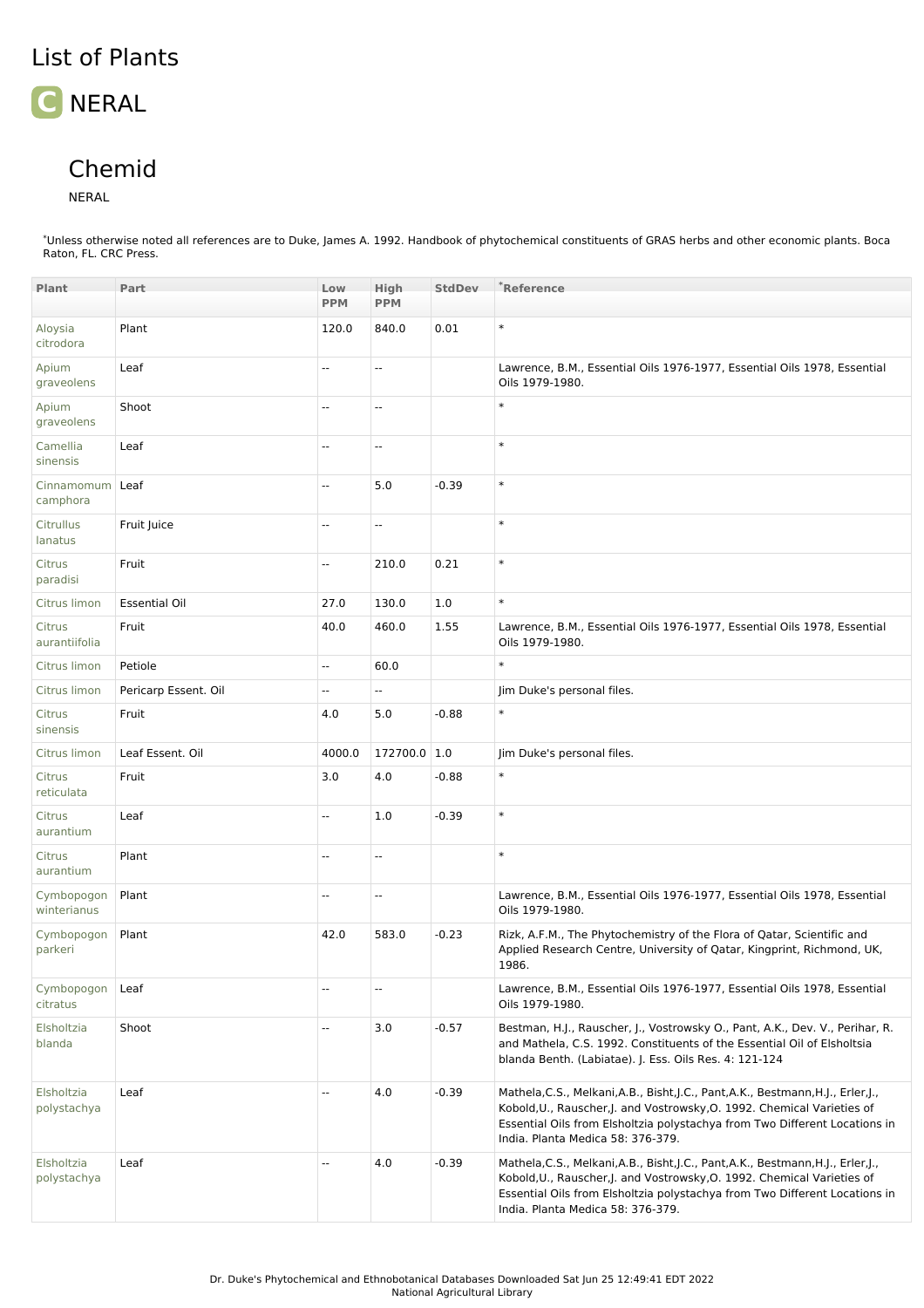## **C** NERAL

## Chemid

## NERAL

\*Unless otherwise noted all references are to Duke, James A. 1992. Handbook of phytochemical constituents of GRAS herbs and other economic plants. Boca Raton, FL. CRC Press.

| Plant                     | Part                 | Low<br><b>PPM</b>        | High<br><b>PPM</b>       | <b>StdDev</b> | *Reference                                                                                                                                                                                                                                                                      |
|---------------------------|----------------------|--------------------------|--------------------------|---------------|---------------------------------------------------------------------------------------------------------------------------------------------------------------------------------------------------------------------------------------------------------------------------------|
| Aloysia                   | Plant                | 120.0                    | 840.0                    | 0.01          | $\ast$                                                                                                                                                                                                                                                                          |
| citrodora                 |                      |                          |                          |               |                                                                                                                                                                                                                                                                                 |
| Apium<br>graveolens       | Leaf                 | --                       | --                       |               | Lawrence, B.M., Essential Oils 1976-1977, Essential Oils 1978, Essential<br>Oils 1979-1980.                                                                                                                                                                                     |
| Apium<br>graveolens       | Shoot                | --                       | Ξ.                       |               | $\ast$                                                                                                                                                                                                                                                                          |
| Camellia<br>sinensis      | Leaf                 | $\overline{\phantom{a}}$ | $\overline{\phantom{a}}$ |               | $\ast$                                                                                                                                                                                                                                                                          |
| Cinnamomum<br>camphora    | Leaf                 | --                       | 5.0                      | $-0.39$       | $\ast$                                                                                                                                                                                                                                                                          |
| Citrullus<br>lanatus      | Fruit Juice          | --                       | --                       |               | $\ast$                                                                                                                                                                                                                                                                          |
| Citrus<br>paradisi        | Fruit                | --                       | 210.0                    | 0.21          | $\ast$                                                                                                                                                                                                                                                                          |
| Citrus limon              | <b>Essential Oil</b> | 27.0                     | 130.0                    | 1.0           | $\ast$                                                                                                                                                                                                                                                                          |
| Citrus<br>aurantiifolia   | Fruit                | 40.0                     | 460.0                    | 1.55          | Lawrence, B.M., Essential Oils 1976-1977, Essential Oils 1978, Essential<br>Oils 1979-1980.                                                                                                                                                                                     |
| Citrus limon              | Petiole              | Ξ.                       | 60.0                     |               | $\ast$                                                                                                                                                                                                                                                                          |
| Citrus limon              | Pericarp Essent. Oil | --                       | Щ,                       |               | Jim Duke's personal files.                                                                                                                                                                                                                                                      |
| Citrus<br>sinensis        | Fruit                | 4.0                      | 5.0                      | $-0.88$       | $\ast$                                                                                                                                                                                                                                                                          |
| Citrus limon              | Leaf Essent. Oil     | 4000.0                   | 172700.0 1.0             |               | Jim Duke's personal files.                                                                                                                                                                                                                                                      |
| Citrus<br>reticulata      | Fruit                | 3.0                      | 4.0                      | $-0.88$       | $\ast$                                                                                                                                                                                                                                                                          |
| Citrus<br>aurantium       | Leaf                 | --                       | 1.0                      | $-0.39$       | $\ast$                                                                                                                                                                                                                                                                          |
| Citrus<br>aurantium       | Plant                | $\overline{\phantom{a}}$ | $\overline{\phantom{a}}$ |               | $\ast$                                                                                                                                                                                                                                                                          |
| Cymbopogon<br>winterianus | Plant                | --                       | Ξ.                       |               | Lawrence, B.M., Essential Oils 1976-1977, Essential Oils 1978, Essential<br>Oils 1979-1980.                                                                                                                                                                                     |
| Cymbopogon<br>parkeri     | Plant                | 42.0                     | 583.0                    | $-0.23$       | Rizk, A.F.M., The Phytochemistry of the Flora of Qatar, Scientific and<br>Applied Research Centre, University of Qatar, Kingprint, Richmond, UK,<br>1986.                                                                                                                       |
| Cymbopogon<br>citratus    | Leaf                 | --                       | --                       |               | Lawrence, B.M., Essential Oils 1976-1977, Essential Oils 1978, Essential<br>Oils 1979-1980.                                                                                                                                                                                     |
| Elsholtzia<br>blanda      | Shoot                | --                       | 3.0                      | $-0.57$       | Bestman, H.J., Rauscher, J., Vostrowsky O., Pant, A.K., Dev. V., Perihar, R.<br>and Mathela, C.S. 1992. Constituents of the Essential Oil of Elsholtsia<br>blanda Benth. (Labiatae). J. Ess. Oils Res. 4: 121-124                                                               |
| Elsholtzia<br>polystachya | Leaf                 | --                       | 4.0                      | $-0.39$       | Mathela, C.S., Melkani, A.B., Bisht, J.C., Pant, A.K., Bestmann, H.J., Erler, J.,<br>Kobold, U., Rauscher, J. and Vostrowsky, O. 1992. Chemical Varieties of<br>Essential Oils from Elsholtzia polystachya from Two Different Locations in<br>India. Planta Medica 58: 376-379. |
| Elsholtzia<br>polystachya | Leaf                 | --                       | 4.0                      | $-0.39$       | Mathela, C.S., Melkani, A.B., Bisht, J.C., Pant, A.K., Bestmann, H.J., Erler, J.,<br>Kobold, U., Rauscher, J. and Vostrowsky, O. 1992. Chemical Varieties of<br>Essential Oils from Elsholtzia polystachya from Two Different Locations in<br>India. Planta Medica 58: 376-379. |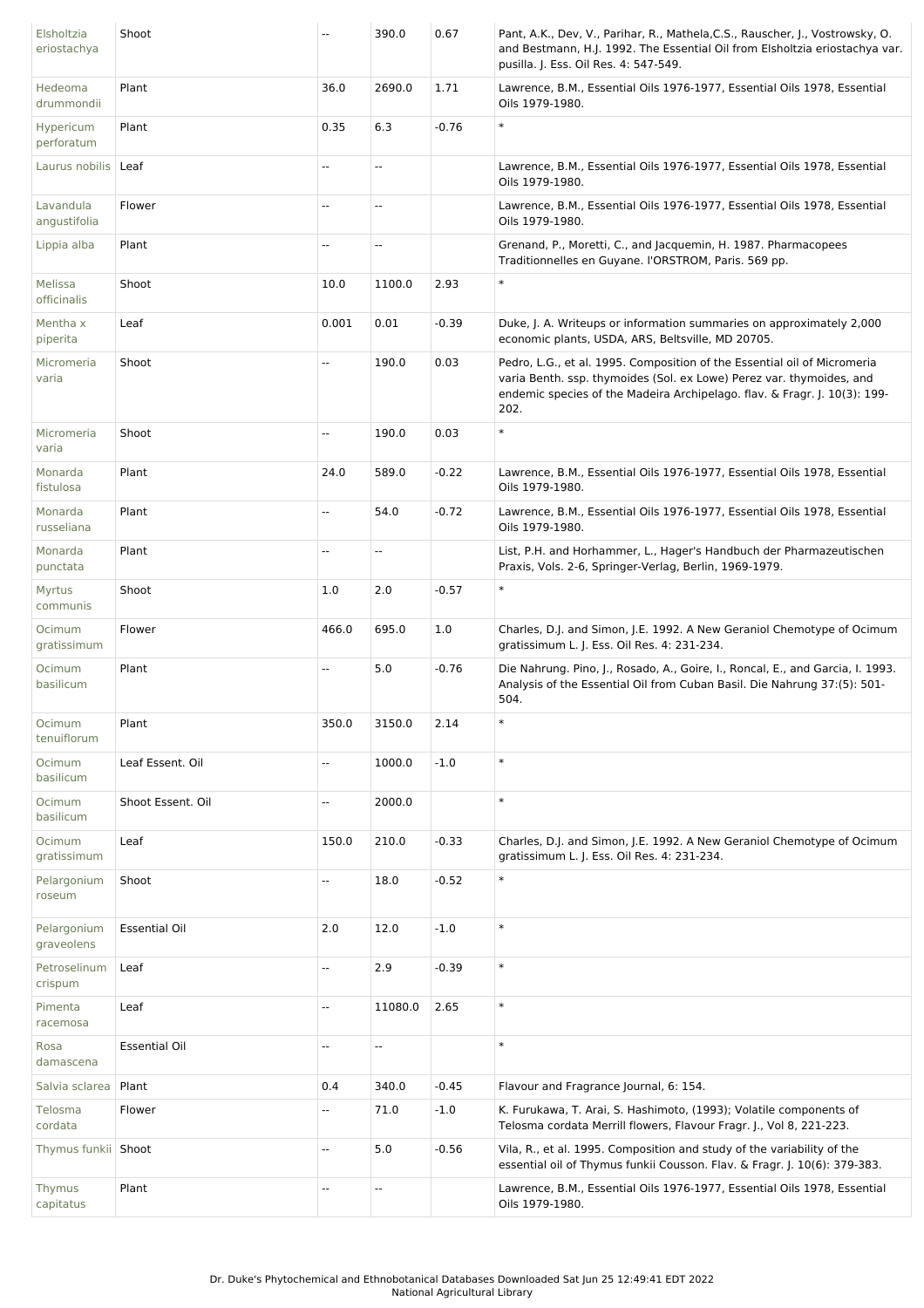| Elsholtzia<br>eriostachya | Shoot                |                          | 390.0                    | 0.67    | Pant, A.K., Dev, V., Parihar, R., Mathela, C.S., Rauscher, J., Vostrowsky, O.<br>and Bestmann, H.J. 1992. The Essential Oil from Elsholtzia eriostachya var.<br>pusilla. J. Ess. Oil Res. 4: 547-549.                                 |
|---------------------------|----------------------|--------------------------|--------------------------|---------|---------------------------------------------------------------------------------------------------------------------------------------------------------------------------------------------------------------------------------------|
| Hedeoma<br>drummondii     | Plant                | 36.0                     | 2690.0                   | 1.71    | Lawrence, B.M., Essential Oils 1976-1977, Essential Oils 1978, Essential<br>Oils 1979-1980.                                                                                                                                           |
| Hypericum<br>perforatum   | Plant                | 0.35                     | 6.3                      | $-0.76$ | $\ast$                                                                                                                                                                                                                                |
| Laurus nobilis   Leaf     |                      | $\overline{\phantom{a}}$ | $\overline{\phantom{a}}$ |         | Lawrence, B.M., Essential Oils 1976-1977, Essential Oils 1978, Essential<br>Oils 1979-1980.                                                                                                                                           |
| Lavandula<br>angustifolia | Flower               | $\overline{\phantom{a}}$ | $\overline{\phantom{a}}$ |         | Lawrence, B.M., Essential Oils 1976-1977, Essential Oils 1978, Essential<br>Oils 1979-1980.                                                                                                                                           |
| Lippia alba               | Plant                | $\overline{\phantom{a}}$ | $\overline{\phantom{a}}$ |         | Grenand, P., Moretti, C., and Jacquemin, H. 1987. Pharmacopees<br>Traditionnelles en Guyane. l'ORSTROM, Paris. 569 pp.                                                                                                                |
| Melissa<br>officinalis    | Shoot                | 10.0                     | 1100.0                   | 2.93    | $\ast$                                                                                                                                                                                                                                |
| Mentha x<br>piperita      | Leaf                 | 0.001                    | 0.01                     | $-0.39$ | Duke, J. A. Writeups or information summaries on approximately 2,000<br>economic plants, USDA, ARS, Beltsville, MD 20705.                                                                                                             |
| Micromeria<br>varia       | Shoot                |                          | 190.0                    | 0.03    | Pedro, L.G., et al. 1995. Composition of the Essential oil of Micromeria<br>varia Benth. ssp. thymoides (Sol. ex Lowe) Perez var. thymoides, and<br>endemic species of the Madeira Archipelago. flav. & Fragr. J. 10(3): 199-<br>202. |
| Micromeria<br>varia       | Shoot                | ÷.                       | 190.0                    | 0.03    | $\ast$                                                                                                                                                                                                                                |
| Monarda<br>fistulosa      | Plant                | 24.0                     | 589.0                    | $-0.22$ | Lawrence, B.M., Essential Oils 1976-1977, Essential Oils 1978, Essential<br>Oils 1979-1980.                                                                                                                                           |
| Monarda<br>russeliana     | Plant                | $\overline{\phantom{a}}$ | 54.0                     | $-0.72$ | Lawrence, B.M., Essential Oils 1976-1977, Essential Oils 1978, Essential<br>Oils 1979-1980.                                                                                                                                           |
| Monarda<br>punctata       | Plant                | $\overline{\phantom{a}}$ | $\overline{\phantom{a}}$ |         | List, P.H. and Horhammer, L., Hager's Handbuch der Pharmazeutischen<br>Praxis, Vols. 2-6, Springer-Verlag, Berlin, 1969-1979.                                                                                                         |
| <b>Myrtus</b><br>communis | Shoot                | $1.0$                    | 2.0                      | $-0.57$ | $\ast$                                                                                                                                                                                                                                |
| Ocimum<br>gratissimum     | Flower               | 466.0                    | 695.0                    | 1.0     | Charles, D.J. and Simon, J.E. 1992. A New Geraniol Chemotype of Ocimum<br>gratissimum L. J. Ess. Oil Res. 4: 231-234.                                                                                                                 |
| Ocimum<br>basilicum       | Plant                | Ξ.                       | 5.0                      | $-0.76$ | Die Nahrung. Pino, J., Rosado, A., Goire, I., Roncal, E., and Garcia, I. 1993.<br>Analysis of the Essential Oil from Cuban Basil. Die Nahrung 37:(5): 501-<br>504.                                                                    |
| Ocimum<br>tenuiflorum     | Plant                | 350.0                    | 3150.0                   | 2.14    |                                                                                                                                                                                                                                       |
| Ocimum<br>basilicum       | Leaf Essent. Oil     | $\overline{\phantom{a}}$ | 1000.0                   | $-1.0$  | $\ast$                                                                                                                                                                                                                                |
| Ocimum<br>basilicum       | Shoot Essent. Oil    | Ξ.                       | 2000.0                   |         | $\ast$                                                                                                                                                                                                                                |
| Ocimum<br>gratissimum     | Leaf                 | 150.0                    | 210.0                    | $-0.33$ | Charles, D.J. and Simon, J.E. 1992. A New Geraniol Chemotype of Ocimum<br>gratissimum L. J. Ess. Oil Res. 4: 231-234.                                                                                                                 |
| Pelargonium<br>roseum     | Shoot                | ÷.                       | 18.0                     | $-0.52$ | $\ast$                                                                                                                                                                                                                                |
| Pelargonium<br>graveolens | <b>Essential Oil</b> | 2.0                      | 12.0                     | $-1.0$  | $\ast$                                                                                                                                                                                                                                |
| Petroselinum<br>crispum   | Leaf                 | $\overline{\phantom{a}}$ | 2.9                      | $-0.39$ | $\ast$                                                                                                                                                                                                                                |
| Pimenta<br>racemosa       | Leaf                 | $\overline{\phantom{a}}$ | 11080.0                  | 2.65    | $\ast$                                                                                                                                                                                                                                |
| Rosa<br>damascena         | <b>Essential Oil</b> | Ξ.                       | Ξ.                       |         | $\ast$                                                                                                                                                                                                                                |
| Salvia sclarea            | Plant                | 0.4                      | 340.0                    | $-0.45$ | Flavour and Fragrance Journal, 6: 154.                                                                                                                                                                                                |
| Telosma<br>cordata        | Flower               | $\frac{1}{2}$            | 71.0                     | $-1.0$  | K. Furukawa, T. Arai, S. Hashimoto, (1993); Volatile components of<br>Telosma cordata Merrill flowers, Flavour Fragr. J., Vol 8, 221-223.                                                                                             |
| Thymus funkii Shoot       |                      | Ξ.                       | 5.0                      | $-0.56$ | Vila, R., et al. 1995. Composition and study of the variability of the<br>essential oil of Thymus funkii Cousson. Flav. & Fragr. J. 10(6): 379-383.                                                                                   |
| Thymus<br>capitatus       | Plant                | Ξ.                       | ш,                       |         | Lawrence, B.M., Essential Oils 1976-1977, Essential Oils 1978, Essential<br>Oils 1979-1980.                                                                                                                                           |